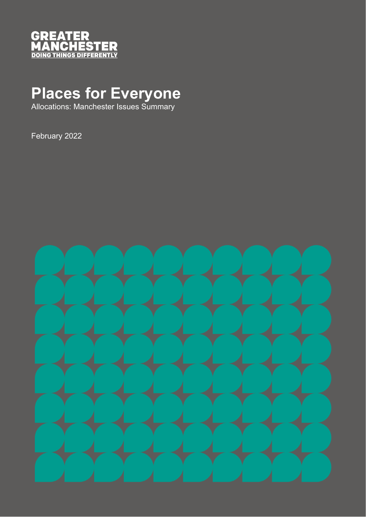

## **Places for Everyone**

Allocations: Manchester Issues Summary

February 2022

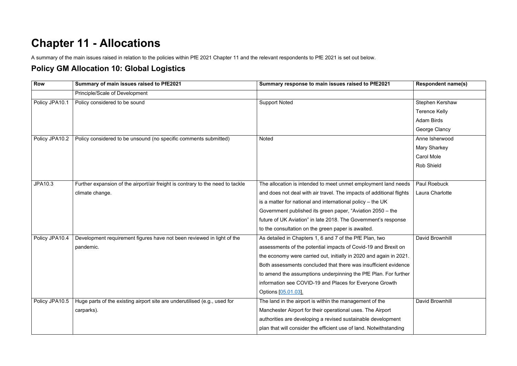## **Chapter 11 - Allocations**

A summary of the main issues raised in relation to the policies within PfE 2021 Chapter 11 and the relevant respondents to PfE 2021 is set out below.

## **Policy GM Allocation 10: Global Logistics**

| <b>Row</b>     | Summary of main issues raised to PfE2021                                       | Summary response to main issues raised to PfE2021                    | <b>Respondent name(s)</b> |
|----------------|--------------------------------------------------------------------------------|----------------------------------------------------------------------|---------------------------|
|                | Principle/Scale of Development                                                 |                                                                      |                           |
| Policy JPA10.1 | Policy considered to be sound                                                  | <b>Support Noted</b>                                                 | Stephen Kershaw           |
|                |                                                                                |                                                                      | <b>Terence Kelly</b>      |
|                |                                                                                |                                                                      | <b>Adam Birds</b>         |
|                |                                                                                |                                                                      | George Clancy             |
| Policy JPA10.2 | Policy considered to be unsound (no specific comments submitted)               | <b>Noted</b>                                                         | Anne Isherwood            |
|                |                                                                                |                                                                      | <b>Mary Sharkey</b>       |
|                |                                                                                |                                                                      | <b>Carol Mole</b>         |
|                |                                                                                |                                                                      | <b>Rob Shield</b>         |
|                |                                                                                |                                                                      |                           |
| JPA10.3        | Further expansion of the airport/air freight is contrary to the need to tackle | The allocation is intended to meet unmet employment land needs       | Paul Roebuck              |
|                | climate change.                                                                | and does not deal with air travel. The impacts of additional flights | Laura Charlotte           |
|                |                                                                                | is a matter for national and international policy - the UK           |                           |
|                |                                                                                | Government published its green paper, "Aviation 2050 – the           |                           |
|                |                                                                                | future of UK Aviation" in late 2018. The Government's response       |                           |
|                |                                                                                | to the consultation on the green paper is awaited.                   |                           |
| Policy JPA10.4 | Development requirement figures have not been reviewed in light of the         | As detailed in Chapters 1, 6 and 7 of the PfE Plan, two              | David Brownhill           |
|                | pandemic.                                                                      | assessments of the potential impacts of Covid-19 and Brexit on       |                           |
|                |                                                                                | the economy were carried out, initially in 2020 and again in 2021.   |                           |
|                |                                                                                | Both assessments concluded that there was insufficient evidence      |                           |
|                |                                                                                | to amend the assumptions underpinning the PfE Plan. For further      |                           |
|                |                                                                                | information see COVID-19 and Places for Everyone Growth              |                           |
|                |                                                                                | Options [05.01.03].                                                  |                           |
| Policy JPA10.5 | Huge parts of the existing airport site are underutilised (e.g., used for      | The land in the airport is within the management of the              | David Brownhill           |
|                | carparks).                                                                     | Manchester Airport for their operational uses. The Airport           |                           |
|                |                                                                                | authorities are developing a revised sustainable development         |                           |
|                |                                                                                | plan that will consider the efficient use of land. Notwithstanding   |                           |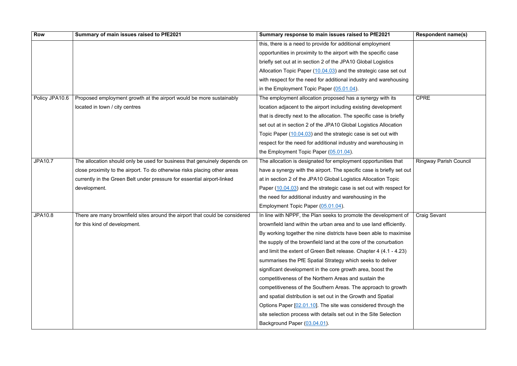| <b>Row</b>     | Summary of main issues raised to PfE2021                                    | Summary response to main issues raised to PfE2021                     | <b>Respondent name(s)</b>     |
|----------------|-----------------------------------------------------------------------------|-----------------------------------------------------------------------|-------------------------------|
|                |                                                                             | this, there is a need to provide for additional employment            |                               |
|                |                                                                             | opportunities in proximity to the airport with the specific case      |                               |
|                |                                                                             | briefly set out at in section 2 of the JPA10 Global Logistics         |                               |
|                |                                                                             | Allocation Topic Paper (10.04.03) and the strategic case set out      |                               |
|                |                                                                             | with respect for the need for additional industry and warehousing     |                               |
|                |                                                                             | in the Employment Topic Paper (05.01.04).                             |                               |
| Policy JPA10.6 | Proposed employment growth at the airport would be more sustainably         | The employment allocation proposed has a synergy with its             | <b>CPRE</b>                   |
|                | located in town / city centres                                              | location adjacent to the airport including existing development       |                               |
|                |                                                                             | that is directly next to the allocation. The specific case is briefly |                               |
|                |                                                                             | set out at in section 2 of the JPA10 Global Logistics Allocation      |                               |
|                |                                                                             | Topic Paper (10.04.03) and the strategic case is set out with         |                               |
|                |                                                                             | respect for the need for additional industry and warehousing in       |                               |
|                |                                                                             | the Employment Topic Paper (05.01.04).                                |                               |
| <b>JPA10.7</b> | The allocation should only be used for business that genuinely depends on   | The allocation is designated for employment opportunities that        | <b>Ringway Parish Council</b> |
|                | close proximity to the airport. To do otherwise risks placing other areas   | have a synergy with the airport. The specific case is briefly set out |                               |
|                | currently in the Green Belt under pressure for essential airport-linked     | at in section 2 of the JPA10 Global Logistics Allocation Topic        |                               |
|                | development.                                                                | Paper (10.04.03) and the strategic case is set out with respect for   |                               |
|                |                                                                             | the need for additional industry and warehousing in the               |                               |
|                |                                                                             | Employment Topic Paper (05.01.04).                                    |                               |
| <b>JPA10.8</b> | There are many brownfield sites around the airport that could be considered | In line with NPPF, the Plan seeks to promote the development of       | <b>Craig Sevant</b>           |
|                | for this kind of development.                                               | brownfield land within the urban area and to use land efficiently.    |                               |
|                |                                                                             | By working together the nine districts have been able to maximise     |                               |
|                |                                                                             | the supply of the brownfield land at the core of the conurbation      |                               |
|                |                                                                             | and limit the extent of Green Belt release. Chapter 4 (4.1 - 4.23)    |                               |
|                |                                                                             | summarises the PfE Spatial Strategy which seeks to deliver            |                               |
|                |                                                                             | significant development in the core growth area, boost the            |                               |
|                |                                                                             | competitiveness of the Northern Areas and sustain the                 |                               |
|                |                                                                             | competitiveness of the Southern Areas. The approach to growth         |                               |
|                |                                                                             | and spatial distribution is set out in the Growth and Spatial         |                               |
|                |                                                                             | Options Paper [02.01.10]. The site was considered through the         |                               |
|                |                                                                             | site selection process with details set out in the Site Selection     |                               |
|                |                                                                             | Background Paper (03.04.01).                                          |                               |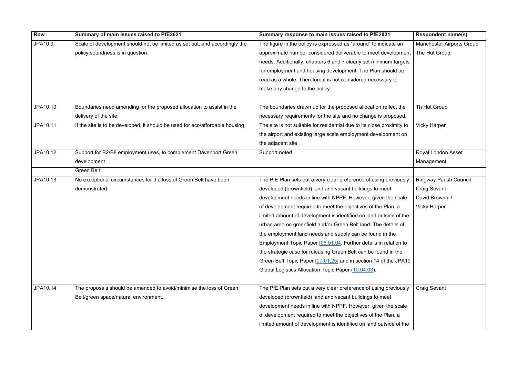| <b>Row</b> | Summary of main issues raised to PfE2021                                     | Summary response to main issues raised to PfE2021                      | <b>Respondent name(s)</b>        |
|------------|------------------------------------------------------------------------------|------------------------------------------------------------------------|----------------------------------|
| JPA10.9    | Scale of development should not be limited as set out, and accordingly the   | The figure in the policy is expressed as "around" to indicate an       | <b>Manchester Airports Group</b> |
|            | policy soundness is in question.                                             | approximate number considered deliverable to meet development          | The Hut Group                    |
|            |                                                                              | needs. Additionally, chapters 6 and 7 clearly set minimum targets      |                                  |
|            |                                                                              | for employment and housing development. The Plan should be             |                                  |
|            |                                                                              | read as a whole. Therefore it is not considered necessary to           |                                  |
|            |                                                                              | make any change to the policy.                                         |                                  |
|            |                                                                              |                                                                        |                                  |
| JPA10.10   | Boundaries need amending for the proposed allocation to assist in the        | The boundaries drawn up for the proposed allocation reflect the        | Th Hut Group                     |
|            | delivery of the site.                                                        | necessary requirements for the site and no change is proposed.         |                                  |
| JPA10.11   | If the site is to be developed, it should be used for eco/affordable housing | The site is not suitable for residential due to its close proximity to | <b>Vicky Harper</b>              |
|            |                                                                              | the airport and existing large scale employment development on         |                                  |
|            |                                                                              | the adjacent site.                                                     |                                  |
| JPA10.12   | Support for B2/B8 employment uses, to complement Davenport Green             | Support noted                                                          | Royal London Asset               |
|            | development                                                                  |                                                                        | Management                       |
|            | <b>Green Belt</b>                                                            |                                                                        |                                  |
| JPA10.13   | No exceptional circumstances for the loss of Green Belt have been            | The PfE Plan sets out a very clear preference of using previously      | <b>Ringway Parish Council</b>    |
|            | demonstrated.                                                                | developed (brownfield) land and vacant buildings to meet               | <b>Craig Sevant</b>              |
|            |                                                                              | development needs in line with NPPF. However, given the scale          | David Brownhill                  |
|            |                                                                              | of development required to meet the objectives of the Plan, a          | <b>Vicky Harper</b>              |
|            |                                                                              | limited amount of development is identified on land outside of the     |                                  |
|            |                                                                              | urban area on greenfield and/or Green Belt land. The details of        |                                  |
|            |                                                                              | the employment land needs and supply can be found in the               |                                  |
|            |                                                                              | Employment Topic Paper [05.01.04. Further details in relation to       |                                  |
|            |                                                                              | the strategic case for releasing Green Belt can be found in the        |                                  |
|            |                                                                              | Green Belt Topic Paper [07.01.25] and in section 14 of the JPA10       |                                  |
|            |                                                                              | Global Logistics Allocation Topic Paper (10.04.03).                    |                                  |
|            |                                                                              |                                                                        |                                  |
| JPA10.14   | The proposals should be amended to avoid/minimise the loss of Green          | The PfE Plan sets out a very clear preference of using previously      | <b>Craig Sevant</b>              |
|            | Belt/green space/natural environment.                                        | developed (brownfield) land and vacant buildings to meet               |                                  |
|            |                                                                              | development needs in line with NPPF. However, given the scale          |                                  |
|            |                                                                              | of development required to meet the objectives of the Plan, a          |                                  |
|            |                                                                              | limited amount of development is identified on land outside of the     |                                  |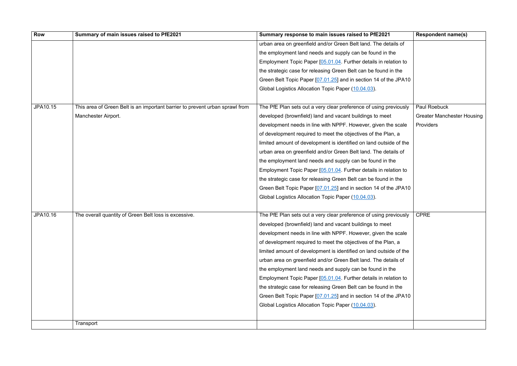| Row      | Summary of main issues raised to PfE2021                                     | Summary response to main issues raised to PfE2021                  | <b>Respondent name(s)</b>         |
|----------|------------------------------------------------------------------------------|--------------------------------------------------------------------|-----------------------------------|
|          |                                                                              | urban area on greenfield and/or Green Belt land. The details of    |                                   |
|          |                                                                              | the employment land needs and supply can be found in the           |                                   |
|          |                                                                              | Employment Topic Paper [05.01.04. Further details in relation to   |                                   |
|          |                                                                              | the strategic case for releasing Green Belt can be found in the    |                                   |
|          |                                                                              | Green Belt Topic Paper [07.01.25] and in section 14 of the JPA10   |                                   |
|          |                                                                              | Global Logistics Allocation Topic Paper (10.04.03).                |                                   |
|          |                                                                              |                                                                    |                                   |
| JPA10.15 | This area of Green Belt is an important barrier to prevent urban sprawl from | The PfE Plan sets out a very clear preference of using previously  | Paul Roebuck                      |
|          | Manchester Airport.                                                          | developed (brownfield) land and vacant buildings to meet           | <b>Greater Manchester Housing</b> |
|          |                                                                              | development needs in line with NPPF. However, given the scale      | Providers                         |
|          |                                                                              | of development required to meet the objectives of the Plan, a      |                                   |
|          |                                                                              | limited amount of development is identified on land outside of the |                                   |
|          |                                                                              | urban area on greenfield and/or Green Belt land. The details of    |                                   |
|          |                                                                              | the employment land needs and supply can be found in the           |                                   |
|          |                                                                              | Employment Topic Paper [05.01.04. Further details in relation to   |                                   |
|          |                                                                              | the strategic case for releasing Green Belt can be found in the    |                                   |
|          |                                                                              | Green Belt Topic Paper [07.01.25] and in section 14 of the JPA10   |                                   |
|          |                                                                              | Global Logistics Allocation Topic Paper (10.04.03).                |                                   |
|          |                                                                              |                                                                    |                                   |
| JPA10.16 | The overall quantity of Green Belt loss is excessive.                        | The PfE Plan sets out a very clear preference of using previously  | <b>CPRE</b>                       |
|          |                                                                              | developed (brownfield) land and vacant buildings to meet           |                                   |
|          |                                                                              | development needs in line with NPPF. However, given the scale      |                                   |
|          |                                                                              | of development required to meet the objectives of the Plan, a      |                                   |
|          |                                                                              | limited amount of development is identified on land outside of the |                                   |
|          |                                                                              | urban area on greenfield and/or Green Belt land. The details of    |                                   |
|          |                                                                              | the employment land needs and supply can be found in the           |                                   |
|          |                                                                              | Employment Topic Paper [05.01.04. Further details in relation to   |                                   |
|          |                                                                              | the strategic case for releasing Green Belt can be found in the    |                                   |
|          |                                                                              | Green Belt Topic Paper [07.01.25] and in section 14 of the JPA10   |                                   |
|          |                                                                              | Global Logistics Allocation Topic Paper (10.04.03).                |                                   |
|          |                                                                              |                                                                    |                                   |
|          | Transport                                                                    |                                                                    |                                   |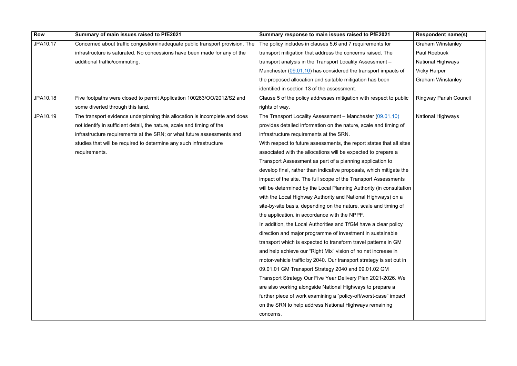| <b>Row</b>      | Summary of main issues raised to PfE2021                                      | Summary response to main issues raised to PfE2021                    | <b>Respondent name(s)</b>     |
|-----------------|-------------------------------------------------------------------------------|----------------------------------------------------------------------|-------------------------------|
| JPA10.17        | Concerned about traffic congestion/inadequate public transport provision. The | The policy includes in clauses 5,6 and 7 requirements for            | <b>Graham Winstanley</b>      |
|                 | infrastructure is saturated. No concessions have been made for any of the     | transport mitigation that address the concerns raised. The           | Paul Roebuck                  |
|                 | additional traffic/commuting.                                                 | transport analysis in the Transport Locality Assessment -            | <b>National Highways</b>      |
|                 |                                                                               | Manchester (09.01.10) has considered the transport impacts of        | <b>Vicky Harper</b>           |
|                 |                                                                               | the proposed allocation and suitable mitigation has been             | <b>Graham Winstanley</b>      |
|                 |                                                                               | identified in section 13 of the assessment.                          |                               |
| JPA10.18        | Five footpaths were closed to permit Application 100263/OO/2012/S2 and        | Clause 5 of the policy addresses mitigation with respect to public   | <b>Ringway Parish Council</b> |
|                 | some diverted through this land.                                              | rights of way.                                                       |                               |
| <b>JPA10.19</b> | The transport evidence underpinning this allocation is incomplete and does    | The Transport Locality Assessment - Manchester (09.01.10)            | National Highways             |
|                 | not identify in sufficient detail, the nature, scale and timing of the        | provides detailed information on the nature, scale and timing of     |                               |
|                 | infrastructure requirements at the SRN; or what future assessments and        | infrastructure requirements at the SRN.                              |                               |
|                 | studies that will be required to determine any such infrastructure            | With respect to future assessments, the report states that all sites |                               |
|                 | requirements.                                                                 | associated with the allocations will be expected to prepare a        |                               |
|                 |                                                                               | Transport Assessment as part of a planning application to            |                               |
|                 |                                                                               | develop final, rather than indicative proposals, which mitigate the  |                               |
|                 |                                                                               | impact of the site. The full scope of the Transport Assessments      |                               |
|                 |                                                                               | will be determined by the Local Planning Authority (in consultation  |                               |
|                 |                                                                               | with the Local Highway Authority and National Highways) on a         |                               |
|                 |                                                                               | site-by-site basis, depending on the nature, scale and timing of     |                               |
|                 |                                                                               | the application, in accordance with the NPPF.                        |                               |
|                 |                                                                               | In addition, the Local Authorities and TfGM have a clear policy      |                               |
|                 |                                                                               | direction and major programme of investment in sustainable           |                               |
|                 |                                                                               | transport which is expected to transform travel patterns in GM       |                               |
|                 |                                                                               | and help achieve our "Right Mix" vision of no net increase in        |                               |
|                 |                                                                               | motor-vehicle traffic by 2040. Our transport strategy is set out in  |                               |
|                 |                                                                               | 09.01.01 GM Transport Strategy 2040 and 09.01.02 GM                  |                               |
|                 |                                                                               | Transport Strategy Our Five Year Delivery Plan 2021-2026. We         |                               |
|                 |                                                                               | are also working alongside National Highways to prepare a            |                               |
|                 |                                                                               | further piece of work examining a "policy-off/worst-case" impact     |                               |
|                 |                                                                               | on the SRN to help address National Highways remaining               |                               |
|                 |                                                                               | concerns.                                                            |                               |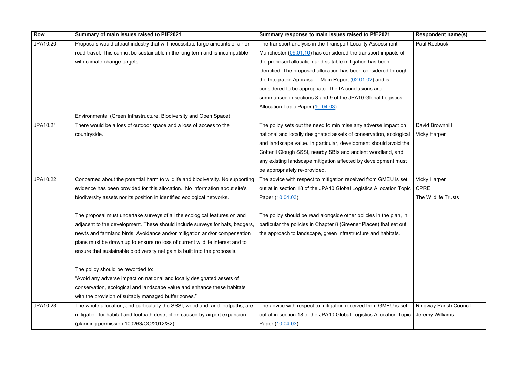| <b>Row</b> | Summary of main issues raised to PfE2021                                       | Summary response to main issues raised to PfE2021                   | <b>Respondent name(s)</b>     |
|------------|--------------------------------------------------------------------------------|---------------------------------------------------------------------|-------------------------------|
| JPA10.20   | Proposals would attract industry that will necessitate large amounts of air or | The transport analysis in the Transport Locality Assessment -       | Paul Roebuck                  |
|            | road travel. This cannot be sustainable in the long term and is incompatible   | Manchester (09.01.10) has considered the transport impacts of       |                               |
|            | with climate change targets.                                                   | the proposed allocation and suitable mitigation has been            |                               |
|            |                                                                                | identified. The proposed allocation has been considered through     |                               |
|            |                                                                                | the Integrated Appraisal – Main Report $(02.01.02)$ and is          |                               |
|            |                                                                                | considered to be appropriate. The IA conclusions are                |                               |
|            |                                                                                | summarised in sections 8 and 9 of the JPA10 Global Logistics        |                               |
|            |                                                                                | Allocation Topic Paper (10.04.03)                                   |                               |
|            | Environmental (Green Infrastructure, Biodiversity and Open Space)              |                                                                     |                               |
| JPA10.21   | There would be a loss of outdoor space and a loss of access to the             | The policy sets out the need to minimise any adverse impact on      | David Brownhill               |
|            | countryside.                                                                   | national and locally designated assets of conservation, ecological  | <b>Vicky Harper</b>           |
|            |                                                                                | and landscape value. In particular, development should avoid the    |                               |
|            |                                                                                | Cotterill Clough SSSI, nearby SBIs and ancient woodland, and        |                               |
|            |                                                                                | any existing landscape mitigation affected by development must      |                               |
|            |                                                                                | be appropriately re-provided.                                       |                               |
| JPA10.22   | Concerned about the potential harm to wildlife and biodiversity. No supporting | The advice with respect to mitigation received from GMEU is set     | <b>Vicky Harper</b>           |
|            | evidence has been provided for this allocation. No information about site's    | out at in section 18 of the JPA10 Global Logistics Allocation Topic | <b>CPRE</b>                   |
|            | biodiversity assets nor its position in identified ecological networks.        | Paper (10.04.03)                                                    | The Wildlife Trusts           |
|            |                                                                                |                                                                     |                               |
|            | The proposal must undertake surveys of all the ecological features on and      | The policy should be read alongside other policies in the plan, in  |                               |
|            | adjacent to the development. These should include surveys for bats, badgers,   | particular the policies in Chapter 8 (Greener Places) that set out  |                               |
|            | newts and farmland birds. Avoidance and/or mitigation and/or compensation      | the approach to landscape, green infrastructure and habitats.       |                               |
|            | plans must be drawn up to ensure no loss of current wildlife interest and to   |                                                                     |                               |
|            | ensure that sustainable biodiversity net gain is built into the proposals.     |                                                                     |                               |
|            |                                                                                |                                                                     |                               |
|            | The policy should be reworded to:                                              |                                                                     |                               |
|            | "Avoid any adverse impact on national and locally designated assets of         |                                                                     |                               |
|            | conservation, ecological and landscape value and enhance these habitats        |                                                                     |                               |
|            | with the provision of suitably managed buffer zones."                          |                                                                     |                               |
| JPA10.23   | The whole allocation, and particularly the SSSI, woodland, and footpaths, are  | The advice with respect to mitigation received from GMEU is set     | <b>Ringway Parish Council</b> |
|            | mitigation for habitat and footpath destruction caused by airport expansion    | out at in section 18 of the JPA10 Global Logistics Allocation Topic | Jeremy Williams               |
|            | (planning permission 100263/OO/2012/S2)                                        | Paper (10.04.03)                                                    |                               |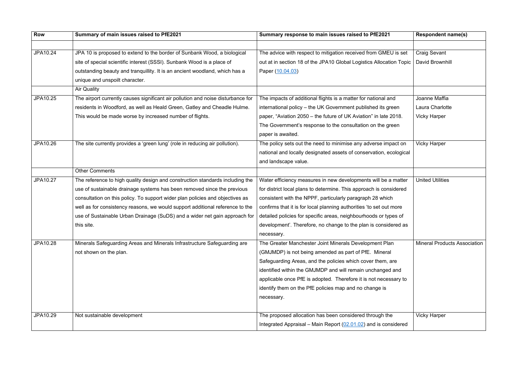| <b>Row</b> | Summary of main issues raised to PfE2021                                         | Summary response to main issues raised to PfE2021                   | <b>Respondent name(s)</b>           |
|------------|----------------------------------------------------------------------------------|---------------------------------------------------------------------|-------------------------------------|
|            |                                                                                  |                                                                     |                                     |
| JPA10.24   | JPA 10 is proposed to extend to the border of Sunbank Wood, a biological         | The advice with respect to mitigation received from GMEU is set     | <b>Craig Sevant</b>                 |
|            | site of special scientific interest (SSSI). Sunbank Wood is a place of           | out at in section 18 of the JPA10 Global Logistics Allocation Topic | David Brownhill                     |
|            | outstanding beauty and tranquillity. It is an ancient woodland, which has a      | Paper (10.04.03)                                                    |                                     |
|            | unique and unspoilt character.                                                   |                                                                     |                                     |
|            | <b>Air Quality</b>                                                               |                                                                     |                                     |
| JPA10.25   | The airport currently causes significant air pollution and noise disturbance for | The impacts of additional flights is a matter for national and      | Joanne Maffia                       |
|            | residents in Woodford, as well as Heald Green, Gatley and Cheadle Hulme.         | international policy - the UK Government published its green        | Laura Charlotte                     |
|            | This would be made worse by increased number of flights.                         | paper, "Aviation 2050 – the future of UK Aviation" in late 2018.    | <b>Vicky Harper</b>                 |
|            |                                                                                  | The Government's response to the consultation on the green          |                                     |
|            |                                                                                  | paper is awaited.                                                   |                                     |
| JPA10.26   | The site currently provides a 'green lung' (role in reducing air pollution).     | The policy sets out the need to minimise any adverse impact on      | <b>Vicky Harper</b>                 |
|            |                                                                                  | national and locally designated assets of conservation, ecological  |                                     |
|            |                                                                                  | and landscape value.                                                |                                     |
|            | <b>Other Comments</b>                                                            |                                                                     |                                     |
| JPA10.27   | The reference to high quality design and construction standards including the    | Water efficiency measures in new developments will be a matter      | <b>United Utilities</b>             |
|            | use of sustainable drainage systems has been removed since the previous          | for district local plans to determine. This approach is considered  |                                     |
|            | consultation on this policy. To support wider plan policies and objectives as    | consistent with the NPPF, particularly paragraph 28 which           |                                     |
|            | well as for consistency reasons, we would support additional reference to the    | confirms that it is for local planning authorities 'to set out more |                                     |
|            | use of Sustainable Urban Drainage (SuDS) and a wider net gain approach for       | detailed policies for specific areas, neighbourhoods or types of    |                                     |
|            | this site.                                                                       | development'. Therefore, no change to the plan is considered as     |                                     |
|            |                                                                                  | necessary.                                                          |                                     |
| JPA10.28   | Minerals Safeguarding Areas and Minerals Infrastructure Safeguarding are         | The Greater Manchester Joint Minerals Development Plan              | <b>Mineral Products Association</b> |
|            | not shown on the plan.                                                           | (GMJMDP) is not being amended as part of PfE. Mineral               |                                     |
|            |                                                                                  | Safeguarding Areas, and the policies which cover them, are          |                                     |
|            |                                                                                  | identified within the GMJMDP and will remain unchanged and          |                                     |
|            |                                                                                  | applicable once PfE is adopted. Therefore it is not necessary to    |                                     |
|            |                                                                                  | identify them on the PfE policies map and no change is              |                                     |
|            |                                                                                  | necessary.                                                          |                                     |
|            |                                                                                  |                                                                     |                                     |
| JPA10.29   | Not sustainable development                                                      | The proposed allocation has been considered through the             | <b>Vicky Harper</b>                 |
|            |                                                                                  | Integrated Appraisal – Main Report $(02.01.02)$ and is considered   |                                     |